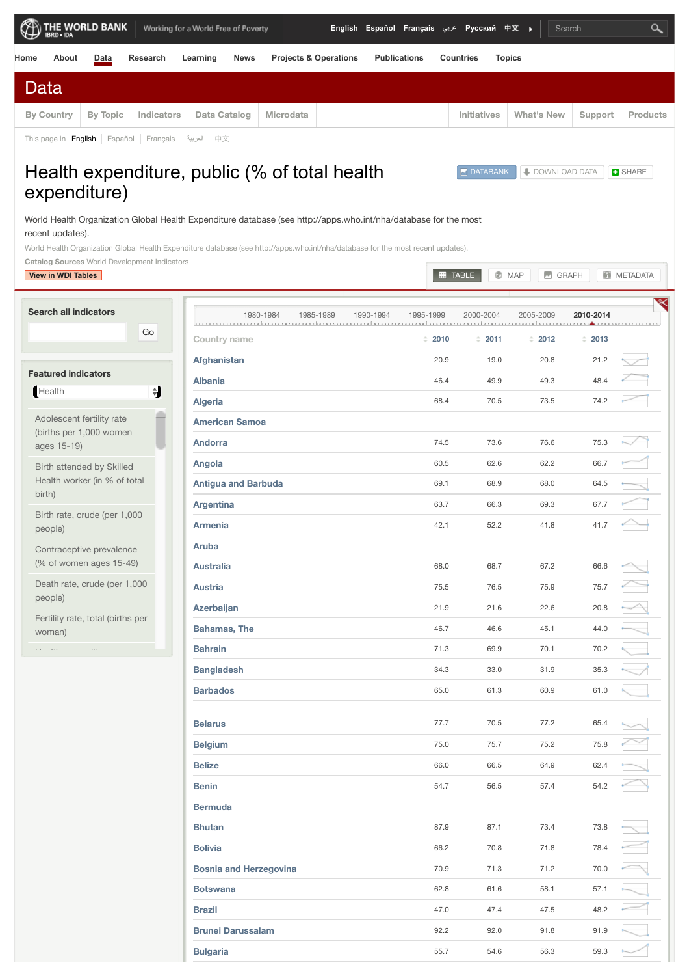|      |            | $\bigoplus_{\mathsf{BRO}\text{-}\mathsf{BA}} \mathsf{THE}$ MORLD BANK |                                                                 | Working for a World Free of Poverty |           | English Español Français عربي Pyccкий 中文 (موبي |                     |                    | $\vert$ Search |         | $\alpha$        |
|------|------------|-----------------------------------------------------------------------|-----------------------------------------------------------------|-------------------------------------|-----------|------------------------------------------------|---------------------|--------------------|----------------|---------|-----------------|
| Home | About      | Data                                                                  | Research                                                        | Learning<br><b>News</b>             |           | <b>Projects &amp; Operations</b>               | <b>Publications</b> | <b>Countries</b>   | <b>Topics</b>  |         |                 |
| Data |            |                                                                       |                                                                 |                                     |           |                                                |                     |                    |                |         |                 |
|      | By Country | By Topic                                                              | Indicators                                                      | Data Catalog                        | Microdata |                                                |                     | <b>Initiatives</b> | What's New     | Support | <b>Products</b> |
|      |            |                                                                       | This page in <b>English</b>   Español   Français   العربية   中文 |                                     |           |                                                |                     |                    |                |         |                 |

**[DATABANK](http://databank.worldbank.org/data/table/source/2?country=&series=SH.XPD.PUBL&period=) | DOWNLOAD DATA | BHARE** 

## Health expenditure, public (% of total health expenditure)

World Health Organization Global Health Expenditure database (see http://apps.who.int/nha/database for the most recent updates).

World Health Organization Global Health Expenditure database (see http://apps.who.int/nha/database for the most recent updates).

**Catalog Sources** World Development Indicators

## **[View in WDI Tables](http://wdi.worldbank.org/table/2.15) [TABLE](http://data.worldbank.org/indicator/SH.XPD.PUBL/countries?display=default) [MAP](http://data.worldbank.org/indicator/SH.XPD.PUBL/countries?display=map) [GRAPH](http://data.worldbank.org/indicator/SH.XPD.PUBL/countries?display=graph) [METADATA](http://databank.worldbank.org/data/metadata/source/2?series=SH.XPD.PUBL)**

| <b>Search all indicators</b>                   | 1980-1984<br>1985-1989        | 1990-1994<br>1995-1999 | 2000-2004 | 2005-2009                                                        | 2010-2014 |  |
|------------------------------------------------|-------------------------------|------------------------|-----------|------------------------------------------------------------------|-----------|--|
| Go                                             | Country name                  | $= 2010$               | $= 2011$  | $\stackrel{\scriptscriptstyle \pm}{\scriptscriptstyle \pm}$ 2012 | $= 2013$  |  |
|                                                | Afghanistan                   | 20.9                   | 19.0      | 20.8                                                             | 21.2      |  |
| <b>Featured indicators</b>                     | <b>Albania</b>                | 46.4                   | 49.9      | 49.3                                                             | 48.4      |  |
| $\overline{\mathbf{t}}$<br>Health              | Algeria                       | 68.4                   | 70.5      | 73.5                                                             | 74.2      |  |
| Adolescent fertility rate                      | <b>American Samoa</b>         |                        |           |                                                                  |           |  |
| (births per 1,000 women<br>ages 15-19)         | <b>Andorra</b>                | 74.5                   | 73.6      | 76.6                                                             | 75.3      |  |
| Birth attended by Skilled                      | Angola                        | 60.5                   | 62.6      | 62.2                                                             | 66.7      |  |
| Health worker (in % of total                   | <b>Antigua and Barbuda</b>    | 69.1                   | 68.9      | 68.0                                                             | 64.5      |  |
| birth)                                         | <b>Argentina</b>              | 63.7                   | 66.3      | 69.3                                                             | 67.7      |  |
| Birth rate, crude (per 1,000<br>people)        | <b>Armenia</b>                | 42.1                   | 52.2      | 41.8                                                             | 41.7      |  |
| Contraceptive prevalence                       | Aruba                         |                        |           |                                                                  |           |  |
| (% of women ages 15-49)                        | <b>Australia</b>              | 68.0                   | 68.7      | 67.2                                                             | 66.6      |  |
| Death rate, crude (per 1,000                   | <b>Austria</b>                | 75.5                   | 76.5      | 75.9                                                             | 75.7      |  |
| people)                                        | Azerbaijan                    | 21.9                   | 21.6      | 22.6                                                             | 20.8      |  |
| Fertility rate, total (births per<br>woman)    | <b>Bahamas, The</b>           | 46.7                   | 46.6      | 45.1                                                             | 44.0      |  |
| $\mathcal{L}(\mathcal{A})$ . The set<br>$\sim$ | <b>Bahrain</b>                | 71.3                   | 69.9      | 70.1                                                             | 70.2      |  |
|                                                | <b>Bangladesh</b>             | 34.3                   | 33.0      | 31.9                                                             | 35.3      |  |
|                                                | <b>Barbados</b>               | 65.0                   | 61.3      | 60.9                                                             | 61.0      |  |
|                                                |                               |                        |           |                                                                  |           |  |
|                                                | <b>Belarus</b>                | 77.7                   | 70.5      | 77.2                                                             | 65.4      |  |
|                                                | <b>Belgium</b>                | 75.0                   | 75.7      | 75.2                                                             | 75.8      |  |
|                                                | <b>Belize</b>                 | 66.0                   | 66.5      | 64.9                                                             | 62.4      |  |
|                                                | <b>Benin</b>                  | 54.7                   | 56.5      | 57.4                                                             | 54.2      |  |
|                                                | <b>Bermuda</b>                |                        |           |                                                                  |           |  |
|                                                | <b>Bhutan</b>                 | 87.9                   | 87.1      | 73.4                                                             | 73.8      |  |
|                                                | <b>Bolivia</b>                | 66.2                   | 70.8      | 71.8                                                             | 78.4      |  |
|                                                | <b>Bosnia and Herzegovina</b> | 70.9                   | 71.3      | 71.2                                                             | 70.0      |  |
|                                                | <b>Botswana</b>               | 62.8                   | 61.6      | 58.1                                                             | 57.1      |  |
|                                                | <b>Brazil</b>                 | 47.0                   | 47.4      | 47.5                                                             | 48.2      |  |
|                                                | <b>Brunei Darussalam</b>      | 92.2                   | 92.0      | 91.8                                                             | 91.9      |  |
|                                                | <b>Bulgaria</b>               | 55.7                   | 54.6      | 56.3                                                             | 59.3      |  |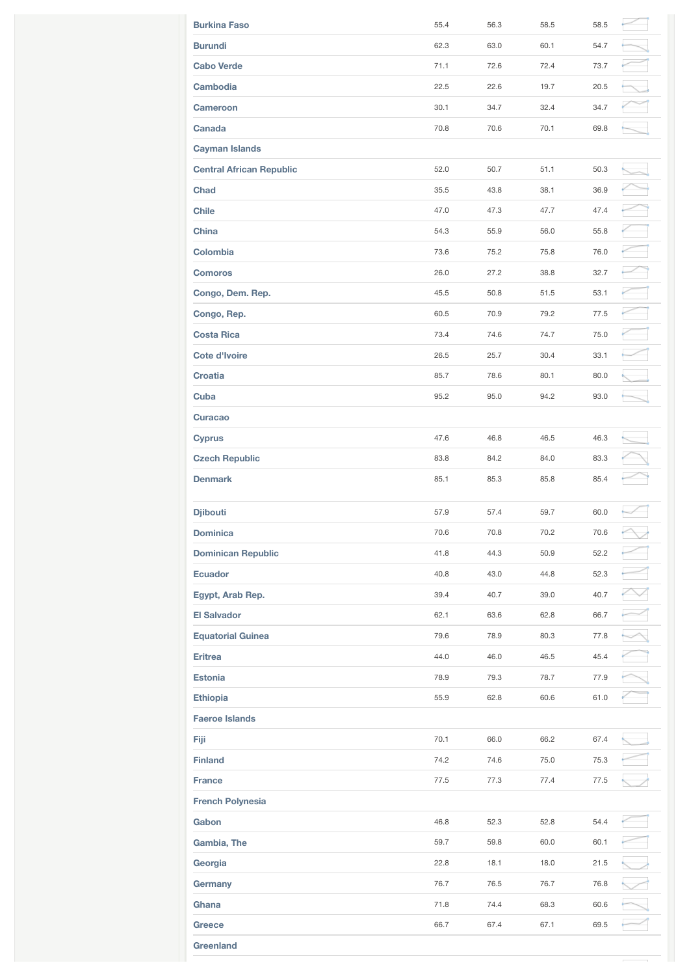| <b>Burkina Faso</b>             | 55.4 | 56.3 | 58.5 | 58.5 |  |
|---------------------------------|------|------|------|------|--|
| <b>Burundi</b>                  | 62.3 | 63.0 | 60.1 | 54.7 |  |
| <b>Cabo Verde</b>               | 71.1 | 72.6 | 72.4 | 73.7 |  |
| <b>Cambodia</b>                 | 22.5 | 22.6 | 19.7 | 20.5 |  |
| <b>Cameroon</b>                 | 30.1 | 34.7 | 32.4 | 34.7 |  |
| Canada                          | 70.8 | 70.6 | 70.1 | 69.8 |  |
| <b>Cayman Islands</b>           |      |      |      |      |  |
| <b>Central African Republic</b> | 52.0 | 50.7 | 51.1 | 50.3 |  |
| <b>Chad</b>                     | 35.5 | 43.8 | 38.1 | 36.9 |  |
| <b>Chile</b>                    | 47.0 | 47.3 | 47.7 | 47.4 |  |
| China                           | 54.3 | 55.9 | 56.0 | 55.8 |  |
| Colombia                        | 73.6 | 75.2 | 75.8 | 76.0 |  |
| <b>Comoros</b>                  | 26.0 | 27.2 | 38.8 | 32.7 |  |
| Congo, Dem. Rep.                | 45.5 | 50.8 | 51.5 | 53.1 |  |
| Congo, Rep.                     | 60.5 | 70.9 | 79.2 | 77.5 |  |
| <b>Costa Rica</b>               | 73.4 | 74.6 | 74.7 | 75.0 |  |
| <b>Cote d'Ivoire</b>            | 26.5 | 25.7 | 30.4 | 33.1 |  |
| <b>Croatia</b>                  | 85.7 | 78.6 | 80.1 | 80.0 |  |
| Cuba                            | 95.2 | 95.0 | 94.2 | 93.0 |  |
| <b>Curacao</b>                  |      |      |      |      |  |
| <b>Cyprus</b>                   | 47.6 | 46.8 | 46.5 | 46.3 |  |
| <b>Czech Republic</b>           | 83.8 | 84.2 | 84.0 | 83.3 |  |
| <b>Denmark</b>                  | 85.1 | 85.3 | 85.8 | 85.4 |  |
| <b>Djibouti</b>                 | 57.9 | 57.4 | 59.7 | 60.0 |  |
| <b>Dominica</b>                 | 70.6 |      |      |      |  |
|                                 |      | 70.8 | 70.2 | 70.6 |  |
| <b>Dominican Republic</b>       | 41.8 | 44.3 | 50.9 | 52.2 |  |
| <b>Ecuador</b>                  | 40.8 | 43.0 | 44.8 | 52.3 |  |
| Egypt, Arab Rep.                | 39.4 | 40.7 | 39.0 | 40.7 |  |
| <b>El Salvador</b>              | 62.1 | 63.6 | 62.8 | 66.7 |  |
| <b>Equatorial Guinea</b>        | 79.6 | 78.9 | 80.3 | 77.8 |  |
| <b>Eritrea</b>                  | 44.0 | 46.0 | 46.5 | 45.4 |  |
| Estonia                         | 78.9 | 79.3 | 78.7 | 77.9 |  |
| <b>Ethiopia</b>                 | 55.9 | 62.8 | 60.6 | 61.0 |  |
| <b>Faeroe Islands</b>           |      |      |      |      |  |
| Fiji                            | 70.1 | 66.0 | 66.2 | 67.4 |  |
| <b>Finland</b>                  | 74.2 | 74.6 | 75.0 | 75.3 |  |
| <b>France</b>                   | 77.5 | 77.3 | 77.4 | 77.5 |  |
| <b>French Polynesia</b>         |      |      |      |      |  |
| Gabon                           | 46.8 | 52.3 | 52.8 | 54.4 |  |
| Gambia, The                     | 59.7 | 59.8 | 60.0 | 60.1 |  |
| Georgia                         | 22.8 | 18.1 | 18.0 | 21.5 |  |
| Germany                         | 76.7 | 76.5 | 76.7 | 76.8 |  |
| Ghana                           | 71.8 | 74.4 | 68.3 | 60.6 |  |
| <b>Greece</b>                   | 66.7 | 67.4 | 67.1 | 69.5 |  |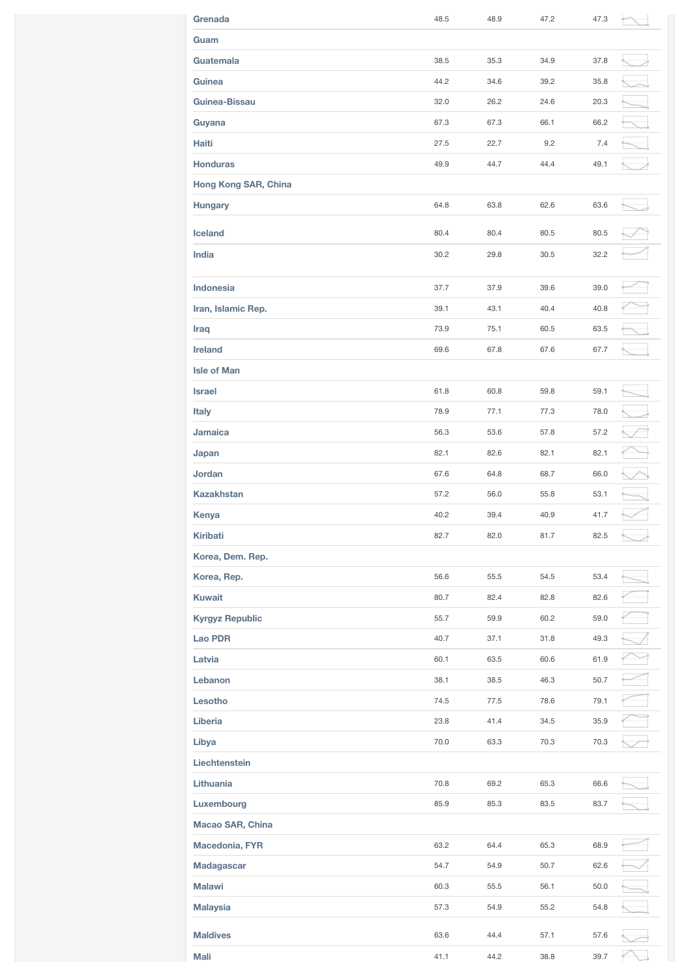| Grenada                | 48.5 | 48.9 | 47.2 | 47.3 |  |
|------------------------|------|------|------|------|--|
| Guam                   |      |      |      |      |  |
| Guatemala              | 38.5 | 35.3 | 34.9 | 37.8 |  |
| Guinea                 | 44.2 | 34.6 | 39.2 | 35.8 |  |
| Guinea-Bissau          | 32.0 | 26.2 | 24.6 | 20.3 |  |
| Guyana                 | 67.3 | 67.3 | 66.1 | 66.2 |  |
| Haiti                  | 27.5 | 22.7 | 9.2  | 7.4  |  |
| <b>Honduras</b>        | 49.9 | 44.7 | 44.4 | 49.1 |  |
| Hong Kong SAR, China   |      |      |      |      |  |
| <b>Hungary</b>         | 64.8 | 63.8 | 62.6 | 63.6 |  |
| Iceland                | 80.4 | 80.4 | 80.5 | 80.5 |  |
| India                  | 30.2 | 29.8 | 30.5 | 32.2 |  |
|                        |      |      |      |      |  |
| <b>Indonesia</b>       | 37.7 | 37.9 | 39.6 | 39.0 |  |
| Iran, Islamic Rep.     | 39.1 | 43.1 | 40.4 | 40.8 |  |
| <b>Iraq</b>            | 73.9 | 75.1 | 60.5 | 63.5 |  |
| <b>Ireland</b>         | 69.6 | 67.8 | 67.6 | 67.7 |  |
| <b>Isle of Man</b>     |      |      |      |      |  |
| <b>Israel</b>          | 61.8 | 60.8 | 59.8 | 59.1 |  |
| <b>Italy</b>           | 78.9 | 77.1 | 77.3 | 78.0 |  |
| Jamaica                | 56.3 | 53.6 | 57.8 | 57.2 |  |
| Japan                  | 82.1 | 82.6 | 82.1 | 82.1 |  |
| <b>Jordan</b>          | 67.6 | 64.8 | 68.7 | 66.0 |  |
| <b>Kazakhstan</b>      | 57.2 | 56.0 | 55.8 | 53.1 |  |
| Kenya                  | 40.2 | 39.4 | 40.9 | 41.7 |  |
| <b>Kiribati</b>        | 82.7 | 82.0 | 81.7 | 82.5 |  |
| Korea, Dem. Rep.       |      |      |      |      |  |
| Korea, Rep.            | 56.6 | 55.5 | 54.5 | 53.4 |  |
| <b>Kuwait</b>          | 80.7 | 82.4 | 82.8 | 82.6 |  |
| <b>Kyrgyz Republic</b> | 55.7 | 59.9 | 60.2 | 59.0 |  |
| <b>Lao PDR</b>         | 40.7 | 37.1 | 31.8 | 49.3 |  |
| Latvia                 | 60.1 | 63.5 | 60.6 | 61.9 |  |
| Lebanon                | 38.1 | 38.5 | 46.3 | 50.7 |  |
| Lesotho                | 74.5 | 77.5 | 78.6 | 79.1 |  |
| Liberia                | 23.8 | 41.4 | 34.5 | 35.9 |  |
| Libya                  | 70.0 | 63.3 | 70.3 | 70.3 |  |
| Liechtenstein          |      |      |      |      |  |
| Lithuania              | 70.8 | 69.2 | 65.3 | 66.6 |  |
| Luxembourg             | 85.9 | 85.3 | 83.5 | 83.7 |  |
| Macao SAR, China       |      |      |      |      |  |
| Macedonia, FYR         | 63.2 | 64.4 | 65.3 | 68.9 |  |
| Madagascar             | 54.7 | 54.9 | 50.7 | 62.6 |  |
| <b>Malawi</b>          | 60.3 | 55.5 | 56.1 | 50.0 |  |
| <b>Malaysia</b>        | 57.3 | 54.9 | 55.2 | 54.8 |  |
| <b>Maldives</b>        | 63.6 | 44.4 | 57.1 | 57.6 |  |
| Mali                   | 41.1 | 44.2 | 38.8 | 39.7 |  |
|                        |      |      |      |      |  |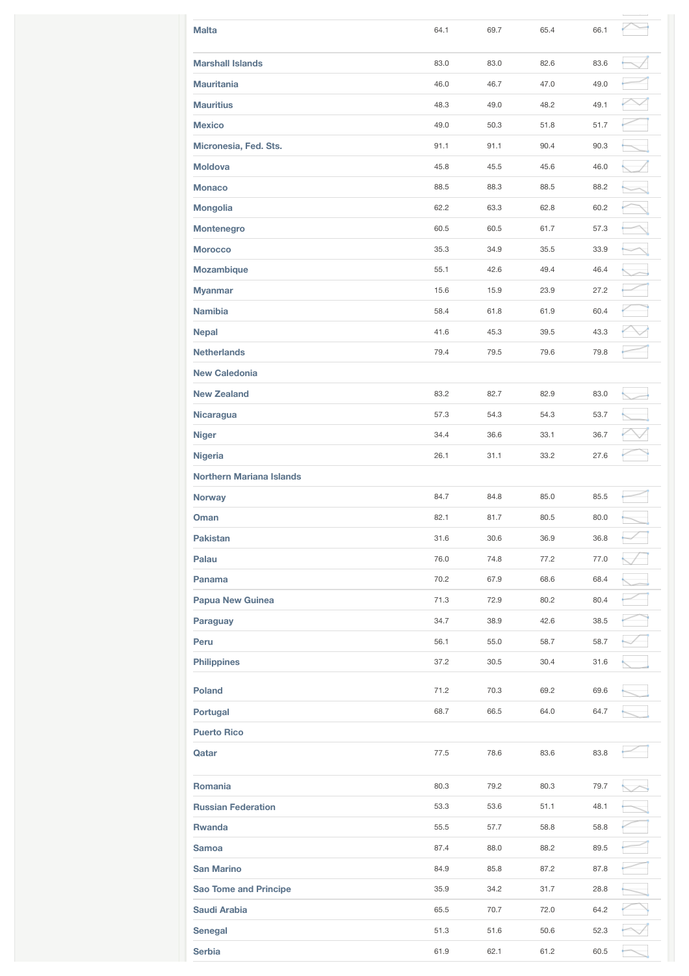| <b>Malta</b>                    | 64.1 | 69.7 | 65.4 | 66.1 |  |
|---------------------------------|------|------|------|------|--|
| <b>Marshall Islands</b>         | 83.0 | 83.0 | 82.6 | 83.6 |  |
| <b>Mauritania</b>               | 46.0 | 46.7 | 47.0 | 49.0 |  |
| <b>Mauritius</b>                | 48.3 | 49.0 | 48.2 | 49.1 |  |
| <b>Mexico</b>                   | 49.0 | 50.3 | 51.8 | 51.7 |  |
| Micronesia, Fed. Sts.           | 91.1 | 91.1 | 90.4 | 90.3 |  |
| <b>Moldova</b>                  | 45.8 | 45.5 | 45.6 | 46.0 |  |
| <b>Monaco</b>                   | 88.5 | 88.3 | 88.5 | 88.2 |  |
| <b>Mongolia</b>                 | 62.2 | 63.3 | 62.8 | 60.2 |  |
| Montenegro                      | 60.5 | 60.5 | 61.7 | 57.3 |  |
| <b>Morocco</b>                  | 35.3 | 34.9 | 35.5 | 33.9 |  |
| <b>Mozambique</b>               | 55.1 | 42.6 | 49.4 | 46.4 |  |
| <b>Myanmar</b>                  | 15.6 | 15.9 | 23.9 | 27.2 |  |
| <b>Namibia</b>                  | 58.4 | 61.8 | 61.9 | 60.4 |  |
| <b>Nepal</b>                    | 41.6 | 45.3 | 39.5 | 43.3 |  |
| <b>Netherlands</b>              | 79.4 | 79.5 | 79.6 | 79.8 |  |
| <b>New Caledonia</b>            |      |      |      |      |  |
| <b>New Zealand</b>              | 83.2 | 82.7 | 82.9 | 83.0 |  |
| Nicaragua                       | 57.3 | 54.3 | 54.3 | 53.7 |  |
| <b>Niger</b>                    | 34.4 | 36.6 | 33.1 | 36.7 |  |
| <b>Nigeria</b>                  | 26.1 | 31.1 | 33.2 | 27.6 |  |
| <b>Northern Mariana Islands</b> |      |      |      |      |  |
| <b>Norway</b>                   | 84.7 | 84.8 | 85.0 | 85.5 |  |
| Oman                            | 82.1 | 81.7 | 80.5 | 80.0 |  |
| <b>Pakistan</b>                 | 31.6 | 30.6 | 36.9 | 36.8 |  |
| Palau                           | 76.0 | 74.8 | 77.2 | 77.0 |  |
| Panama                          | 70.2 | 67.9 | 68.6 | 68.4 |  |
| <b>Papua New Guinea</b>         | 71.3 | 72.9 | 80.2 | 80.4 |  |
| Paraguay                        | 34.7 | 38.9 | 42.6 | 38.5 |  |
| Peru                            | 56.1 | 55.0 | 58.7 | 58.7 |  |
| <b>Philippines</b>              | 37.2 | 30.5 | 30.4 | 31.6 |  |
| <b>Poland</b>                   | 71.2 | 70.3 | 69.2 | 69.6 |  |
| Portugal                        | 68.7 | 66.5 | 64.0 | 64.7 |  |
| <b>Puerto Rico</b>              |      |      |      |      |  |
| Qatar                           | 77.5 | 78.6 | 83.6 | 83.8 |  |
| Romania                         | 80.3 | 79.2 | 80.3 | 79.7 |  |
| <b>Russian Federation</b>       | 53.3 | 53.6 | 51.1 | 48.1 |  |
| <b>Rwanda</b>                   | 55.5 | 57.7 | 58.8 | 58.8 |  |
| <b>Samoa</b>                    | 87.4 | 88.0 | 88.2 | 89.5 |  |
| <b>San Marino</b>               | 84.9 | 85.8 | 87.2 | 87.8 |  |
| <b>Sao Tome and Principe</b>    | 35.9 | 34.2 | 31.7 | 28.8 |  |
| Saudi Arabia                    | 65.5 | 70.7 | 72.0 | 64.2 |  |
| <b>Senegal</b>                  | 51.3 | 51.6 | 50.6 | 52.3 |  |
| <b>Serbia</b>                   | 61.9 | 62.1 | 61.2 | 60.5 |  |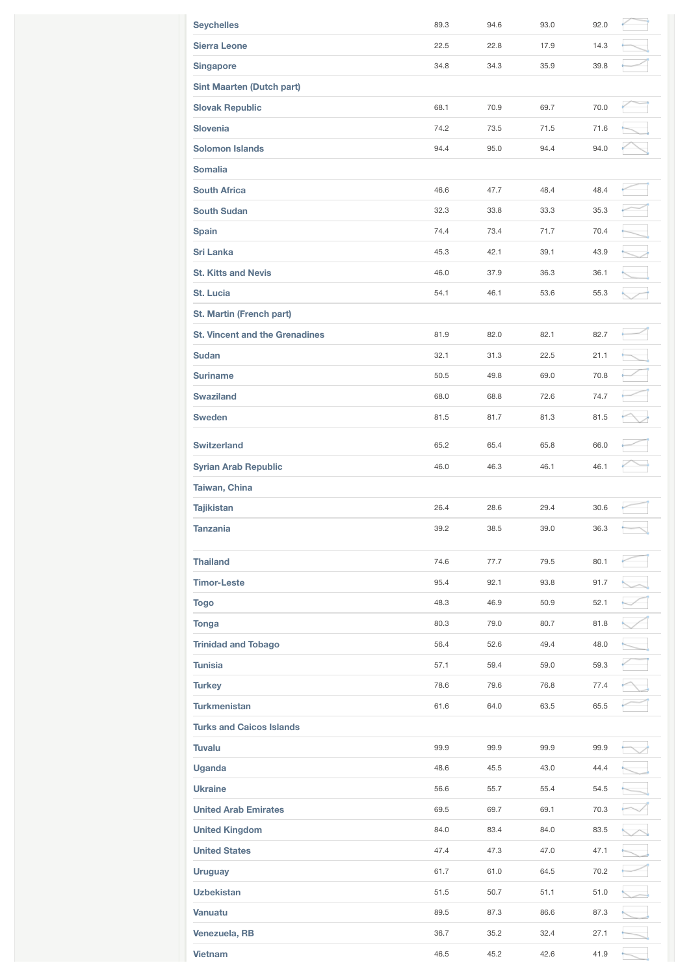| <b>Seychelles</b>                     | 89.3 | 94.6 | 93.0 | 92.0 |  |
|---------------------------------------|------|------|------|------|--|
| <b>Sierra Leone</b>                   | 22.5 | 22.8 | 17.9 | 14.3 |  |
| <b>Singapore</b>                      | 34.8 | 34.3 | 35.9 | 39.8 |  |
| <b>Sint Maarten (Dutch part)</b>      |      |      |      |      |  |
| <b>Slovak Republic</b>                | 68.1 | 70.9 | 69.7 | 70.0 |  |
| <b>Slovenia</b>                       | 74.2 | 73.5 | 71.5 | 71.6 |  |
| <b>Solomon Islands</b>                | 94.4 | 95.0 | 94.4 | 94.0 |  |
| <b>Somalia</b>                        |      |      |      |      |  |
| <b>South Africa</b>                   | 46.6 | 47.7 | 48.4 | 48.4 |  |
| <b>South Sudan</b>                    | 32.3 | 33.8 | 33.3 | 35.3 |  |
| <b>Spain</b>                          | 74.4 | 73.4 | 71.7 | 70.4 |  |
| <b>Sri Lanka</b>                      | 45.3 | 42.1 | 39.1 | 43.9 |  |
| <b>St. Kitts and Nevis</b>            | 46.0 | 37.9 | 36.3 | 36.1 |  |
| St. Lucia                             | 54.1 | 46.1 | 53.6 | 55.3 |  |
| St. Martin (French part)              |      |      |      |      |  |
| <b>St. Vincent and the Grenadines</b> | 81.9 | 82.0 | 82.1 | 82.7 |  |
| <b>Sudan</b>                          | 32.1 | 31.3 | 22.5 | 21.1 |  |
| <b>Suriname</b>                       | 50.5 | 49.8 | 69.0 | 70.8 |  |
| <b>Swaziland</b>                      | 68.0 | 68.8 | 72.6 | 74.7 |  |
| <b>Sweden</b>                         | 81.5 | 81.7 | 81.3 | 81.5 |  |
| <b>Switzerland</b>                    | 65.2 | 65.4 | 65.8 | 66.0 |  |
| <b>Syrian Arab Republic</b>           | 46.0 | 46.3 | 46.1 | 46.1 |  |
| Taiwan, China                         |      |      |      |      |  |
| <b>Tajikistan</b>                     | 26.4 | 28.6 | 29.4 | 30.6 |  |
| <b>Tanzania</b>                       | 39.2 | 38.5 | 39.0 | 36.3 |  |
| <b>Thailand</b>                       | 74.6 | 77.7 | 79.5 | 80.1 |  |
| <b>Timor-Leste</b>                    | 95.4 | 92.1 | 93.8 | 91.7 |  |
| <b>Togo</b>                           | 48.3 | 46.9 | 50.9 | 52.1 |  |
| Tonga                                 | 80.3 | 79.0 | 80.7 | 81.8 |  |
| <b>Trinidad and Tobago</b>            | 56.4 | 52.6 | 49.4 | 48.0 |  |
| <b>Tunisia</b>                        | 57.1 | 59.4 | 59.0 | 59.3 |  |
| <b>Turkey</b>                         | 78.6 | 79.6 | 76.8 | 77.4 |  |
| <b>Turkmenistan</b>                   | 61.6 | 64.0 | 63.5 | 65.5 |  |
| <b>Turks and Caicos Islands</b>       |      |      |      |      |  |
| <b>Tuvalu</b>                         | 99.9 | 99.9 | 99.9 | 99.9 |  |
| Uganda                                | 48.6 | 45.5 | 43.0 | 44.4 |  |
| <b>Ukraine</b>                        | 56.6 | 55.7 | 55.4 | 54.5 |  |
| <b>United Arab Emirates</b>           | 69.5 | 69.7 | 69.1 | 70.3 |  |
| <b>United Kingdom</b>                 | 84.0 | 83.4 | 84.0 | 83.5 |  |
| <b>United States</b>                  | 47.4 | 47.3 | 47.0 | 47.1 |  |
| <b>Uruguay</b>                        | 61.7 | 61.0 | 64.5 | 70.2 |  |
| <b>Uzbekistan</b>                     | 51.5 | 50.7 | 51.1 | 51.0 |  |
| Vanuatu                               | 89.5 | 87.3 | 86.6 | 87.3 |  |
|                                       |      |      |      |      |  |
| Venezuela, RB                         | 36.7 | 35.2 | 32.4 | 27.1 |  |